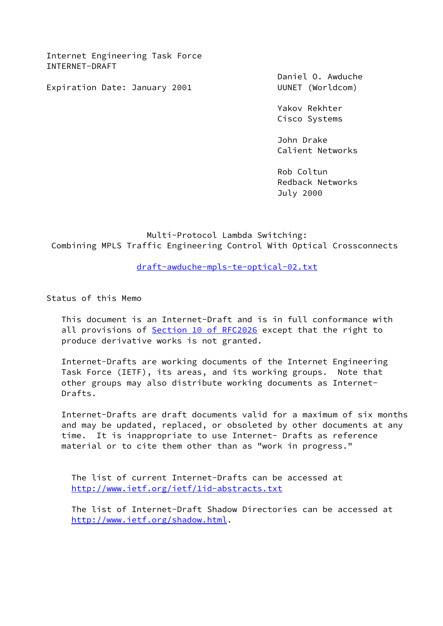Internet Engineering Task Force INTERNET-DRAFT

Expiration Date: January 2001 UUNET (Worldcom)

Daniel O. Awduche

 Yakov Rekhter Cisco Systems

 John Drake Calient Networks

 Rob Coltun Redback Networks July 2000

 Multi-Protocol Lambda Switching: Combining MPLS Traffic Engineering Control With Optical Crossconnects

[draft-awduche-mpls-te-optical-02.txt](https://datatracker.ietf.org/doc/pdf/draft-awduche-mpls-te-optical-02.txt)

Status of this Memo

 This document is an Internet-Draft and is in full conformance with all provisions of Section [10 of RFC2026](https://datatracker.ietf.org/doc/pdf/rfc2026#section-10) except that the right to produce derivative works is not granted.

 Internet-Drafts are working documents of the Internet Engineering Task Force (IETF), its areas, and its working groups. Note that other groups may also distribute working documents as Internet- Drafts.

 Internet-Drafts are draft documents valid for a maximum of six months and may be updated, replaced, or obsoleted by other documents at any time. It is inappropriate to use Internet- Drafts as reference material or to cite them other than as "work in progress."

 The list of current Internet-Drafts can be accessed at <http://www.ietf.org/ietf/1id-abstracts.txt>

 The list of Internet-Draft Shadow Directories can be accessed at <http://www.ietf.org/shadow.html>.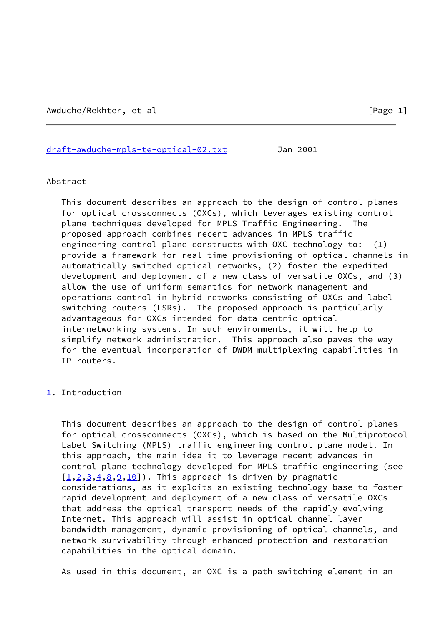[draft-awduche-mpls-te-optical-02.txt](https://datatracker.ietf.org/doc/pdf/draft-awduche-mpls-te-optical-02.txt) Jan 2001

#### Abstract

 This document describes an approach to the design of control planes for optical crossconnects (OXCs), which leverages existing control plane techniques developed for MPLS Traffic Engineering. The proposed approach combines recent advances in MPLS traffic engineering control plane constructs with OXC technology to: (1) provide a framework for real-time provisioning of optical channels in automatically switched optical networks, (2) foster the expedited development and deployment of a new class of versatile OXCs, and (3) allow the use of uniform semantics for network management and operations control in hybrid networks consisting of OXCs and label switching routers (LSRs). The proposed approach is particularly advantageous for OXCs intended for data-centric optical internetworking systems. In such environments, it will help to simplify network administration. This approach also paves the way for the eventual incorporation of DWDM multiplexing capabilities in IP routers.

### <span id="page-1-0"></span>[1](#page-1-0). Introduction

 This document describes an approach to the design of control planes for optical crossconnects (OXCs), which is based on the Multiprotocol Label Switching (MPLS) traffic engineering control plane model. In this approach, the main idea it to leverage recent advances in control plane technology developed for MPLS traffic engineering (see  $[1, 2, 3, 4, 8, 9, 10]$  $[1, 2, 3, 4, 8, 9, 10]$  $[1, 2, 3, 4, 8, 9, 10]$  $[1, 2, 3, 4, 8, 9, 10]$  $[1, 2, 3, 4, 8, 9, 10]$  $[1, 2, 3, 4, 8, 9, 10]$  $[1, 2, 3, 4, 8, 9, 10]$  $[1, 2, 3, 4, 8, 9, 10]$  $[1, 2, 3, 4, 8, 9, 10]$  $[1, 2, 3, 4, 8, 9, 10]$  $[1, 2, 3, 4, 8, 9, 10]$  $[1, 2, 3, 4, 8, 9, 10]$  $[1, 2, 3, 4, 8, 9, 10]$ . This approach is driven by pragmatic considerations, as it exploits an existing technology base to foster rapid development and deployment of a new class of versatile OXCs that address the optical transport needs of the rapidly evolving Internet. This approach will assist in optical channel layer bandwidth management, dynamic provisioning of optical channels, and network survivability through enhanced protection and restoration capabilities in the optical domain.

As used in this document, an OXC is a path switching element in an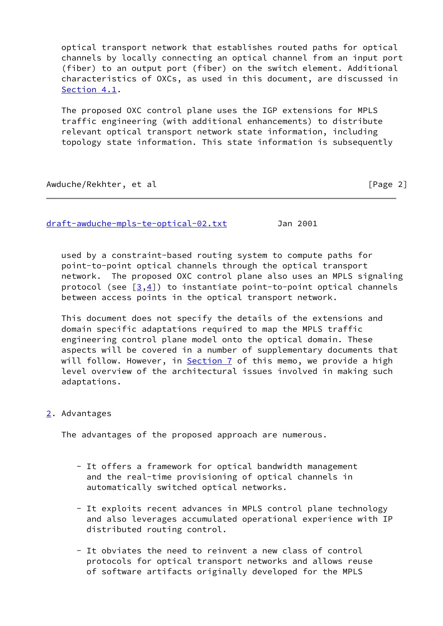optical transport network that establishes routed paths for optical channels by locally connecting an optical channel from an input port (fiber) to an output port (fiber) on the switch element. Additional characteristics of OXCs, as used in this document, are discussed in [Section 4.1](#page-6-0).

 The proposed OXC control plane uses the IGP extensions for MPLS traffic engineering (with additional enhancements) to distribute relevant optical transport network state information, including topology state information. This state information is subsequently

Awduche/Rekhter, et al **interpretational control (Page 2**)

[draft-awduche-mpls-te-optical-02.txt](https://datatracker.ietf.org/doc/pdf/draft-awduche-mpls-te-optical-02.txt) Jan 2001

 used by a constraint-based routing system to compute paths for point-to-point optical channels through the optical transport network. The proposed OXC control plane also uses an MPLS signaling protocol (see  $[3,4]$  $[3,4]$  $[3,4]$  $[3,4]$ ) to instantiate point-to-point optical channels between access points in the optical transport network.

 This document does not specify the details of the extensions and domain specific adaptations required to map the MPLS traffic engineering control plane model onto the optical domain. These aspects will be covered in a number of supplementary documents that will follow. However, in [Section 7](#page-17-0) of this memo, we provide a high level overview of the architectural issues involved in making such adaptations.

# <span id="page-2-0"></span>[2](#page-2-0). Advantages

The advantages of the proposed approach are numerous.

- It offers a framework for optical bandwidth management and the real-time provisioning of optical channels in automatically switched optical networks.
- It exploits recent advances in MPLS control plane technology and also leverages accumulated operational experience with IP distributed routing control.
- It obviates the need to reinvent a new class of control protocols for optical transport networks and allows reuse of software artifacts originally developed for the MPLS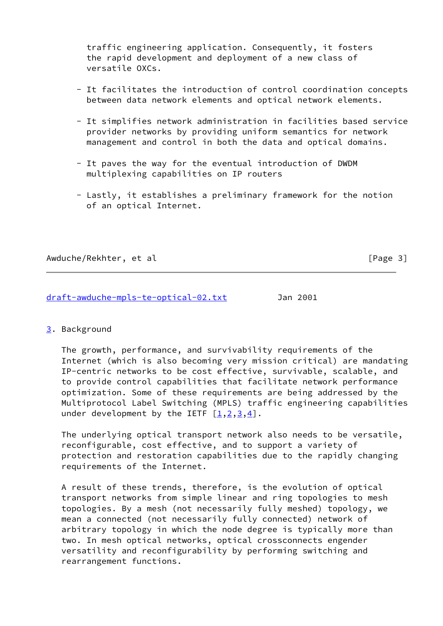traffic engineering application. Consequently, it fosters the rapid development and deployment of a new class of versatile OXCs.

- It facilitates the introduction of control coordination concepts between data network elements and optical network elements.
- It simplifies network administration in facilities based service provider networks by providing uniform semantics for network management and control in both the data and optical domains.
- It paves the way for the eventual introduction of DWDM multiplexing capabilities on IP routers
- Lastly, it establishes a preliminary framework for the notion of an optical Internet.

Awduche/Rekhter, et al **interval and the set of the set of the set of the set of the set of the set of the set o** 

[draft-awduche-mpls-te-optical-02.txt](https://datatracker.ietf.org/doc/pdf/draft-awduche-mpls-te-optical-02.txt) Jan 2001

<span id="page-3-0"></span>[3](#page-3-0). Background

 The growth, performance, and survivability requirements of the Internet (which is also becoming very mission critical) are mandating IP-centric networks to be cost effective, survivable, scalable, and to provide control capabilities that facilitate network performance optimization. Some of these requirements are being addressed by the Multiprotocol Label Switching (MPLS) traffic engineering capabilities under development by the IETF  $[1,2,3,4]$  $[1,2,3,4]$  $[1,2,3,4]$  $[1,2,3,4]$  $[1,2,3,4]$  $[1,2,3,4]$  $[1,2,3,4]$ .

 The underlying optical transport network also needs to be versatile, reconfigurable, cost effective, and to support a variety of protection and restoration capabilities due to the rapidly changing requirements of the Internet.

 A result of these trends, therefore, is the evolution of optical transport networks from simple linear and ring topologies to mesh topologies. By a mesh (not necessarily fully meshed) topology, we mean a connected (not necessarily fully connected) network of arbitrary topology in which the node degree is typically more than two. In mesh optical networks, optical crossconnects engender versatility and reconfigurability by performing switching and rearrangement functions.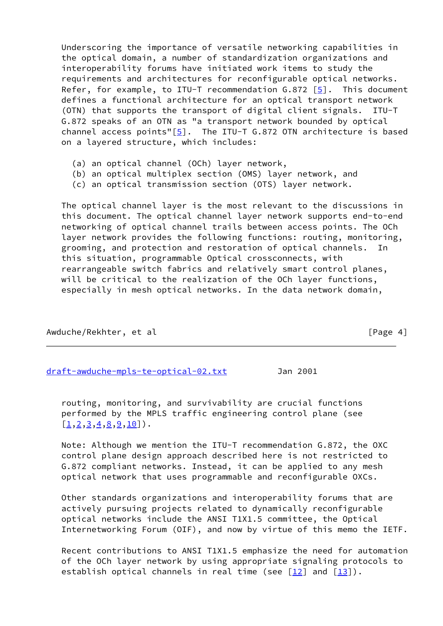Underscoring the importance of versatile networking capabilities in the optical domain, a number of standardization organizations and interoperability forums have initiated work items to study the requirements and architectures for reconfigurable optical networks. Refer, for example, to ITU-T recommendation G.872 [[5\]](#page-21-7). This document defines a functional architecture for an optical transport network (OTN) that supports the transport of digital client signals. ITU-T G.872 speaks of an OTN as "a transport network bounded by optical channel access points" $[5]$  $[5]$ . The ITU-T G.872 OTN architecture is based on a layered structure, which includes:

- (a) an optical channel (OCh) layer network,
- (b) an optical multiplex section (OMS) layer network, and
- (c) an optical transmission section (OTS) layer network.

 The optical channel layer is the most relevant to the discussions in this document. The optical channel layer network supports end-to-end networking of optical channel trails between access points. The OCh layer network provides the following functions: routing, monitoring, grooming, and protection and restoration of optical channels. In this situation, programmable Optical crossconnects, with rearrangeable switch fabrics and relatively smart control planes, will be critical to the realization of the OCh layer functions, especially in mesh optical networks. In the data network domain,

Awduche/Rekhter, et al **Example 2018** [Page 4]

[draft-awduche-mpls-te-optical-02.txt](https://datatracker.ietf.org/doc/pdf/draft-awduche-mpls-te-optical-02.txt) Jan 2001

 routing, monitoring, and survivability are crucial functions performed by the MPLS traffic engineering control plane (see  $[1, 2, 3, 4, 8, 9, 10]$  $[1, 2, 3, 4, 8, 9, 10]$  $[1, 2, 3, 4, 8, 9, 10]$  $[1, 2, 3, 4, 8, 9, 10]$  $[1, 2, 3, 4, 8, 9, 10]$  $[1, 2, 3, 4, 8, 9, 10]$  $[1, 2, 3, 4, 8, 9, 10]$  $[1, 2, 3, 4, 8, 9, 10]$  $[1, 2, 3, 4, 8, 9, 10]$  $[1, 2, 3, 4, 8, 9, 10]$  $[1, 2, 3, 4, 8, 9, 10]$  $[1, 2, 3, 4, 8, 9, 10]$  $[1, 2, 3, 4, 8, 9, 10]$ .

 Note: Although we mention the ITU-T recommendation G.872, the OXC control plane design approach described here is not restricted to G.872 compliant networks. Instead, it can be applied to any mesh optical network that uses programmable and reconfigurable OXCs.

 Other standards organizations and interoperability forums that are actively pursuing projects related to dynamically reconfigurable optical networks include the ANSI T1X1.5 committee, the Optical Internetworking Forum (OIF), and now by virtue of this memo the IETF.

 Recent contributions to ANSI T1X1.5 emphasize the need for automation of the OCh layer network by using appropriate signaling protocols to establish optical channels in real time (see  $[12]$  and  $[13]$  $[13]$ ).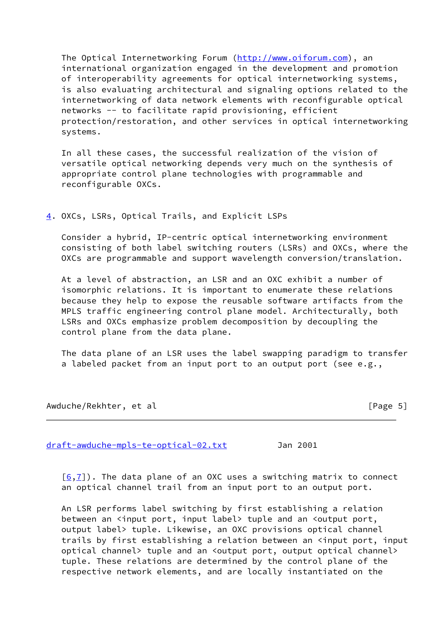The Optical Internetworking Forum (<http://www.oiforum.com>), an international organization engaged in the development and promotion of interoperability agreements for optical internetworking systems, is also evaluating architectural and signaling options related to the internetworking of data network elements with reconfigurable optical networks -- to facilitate rapid provisioning, efficient protection/restoration, and other services in optical internetworking systems.

 In all these cases, the successful realization of the vision of versatile optical networking depends very much on the synthesis of appropriate control plane technologies with programmable and reconfigurable OXCs.

# <span id="page-5-0"></span>[4](#page-5-0). OXCs, LSRs, Optical Trails, and Explicit LSPs

 Consider a hybrid, IP-centric optical internetworking environment consisting of both label switching routers (LSRs) and OXCs, where the OXCs are programmable and support wavelength conversion/translation.

 At a level of abstraction, an LSR and an OXC exhibit a number of isomorphic relations. It is important to enumerate these relations because they help to expose the reusable software artifacts from the MPLS traffic engineering control plane model. Architecturally, both LSRs and OXCs emphasize problem decomposition by decoupling the control plane from the data plane.

 The data plane of an LSR uses the label swapping paradigm to transfer a labeled packet from an input port to an output port (see e.g.,

Awduche/Rekhter, et al **interval and the set of the set of the set of the set of the set of the set of the set o** 

[draft-awduche-mpls-te-optical-02.txt](https://datatracker.ietf.org/doc/pdf/draft-awduche-mpls-te-optical-02.txt) Jan 2001

 $[6,7]$  $[6,7]$  $[6,7]$ ). The data plane of an OXC uses a switching matrix to connect an optical channel trail from an input port to an output port.

 An LSR performs label switching by first establishing a relation between an <input port, input label> tuple and an <output port, output label> tuple. Likewise, an OXC provisions optical channel trails by first establishing a relation between an <input port, input optical channel> tuple and an <output port, output optical channel> tuple. These relations are determined by the control plane of the respective network elements, and are locally instantiated on the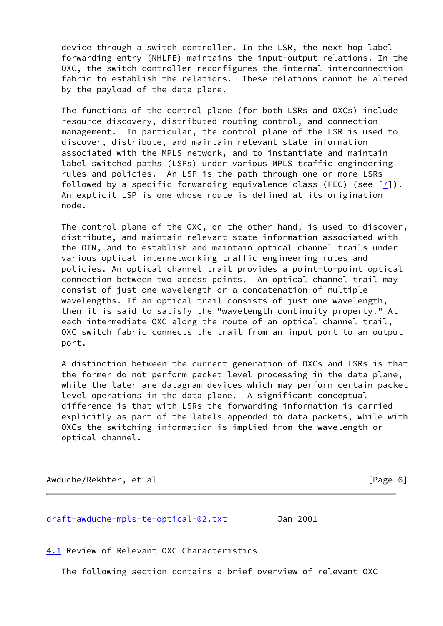device through a switch controller. In the LSR, the next hop label forwarding entry (NHLFE) maintains the input-output relations. In the OXC, the switch controller reconfigures the internal interconnection fabric to establish the relations. These relations cannot be altered by the payload of the data plane.

 The functions of the control plane (for both LSRs and OXCs) include resource discovery, distributed routing control, and connection management. In particular, the control plane of the LSR is used to discover, distribute, and maintain relevant state information associated with the MPLS network, and to instantiate and maintain label switched paths (LSPs) under various MPLS traffic engineering rules and policies. An LSP is the path through one or more LSRs followed by a specific forwarding equivalence class (FEC) (see  $[7]$  $[7]$ ). An explicit LSP is one whose route is defined at its origination node.

 The control plane of the OXC, on the other hand, is used to discover, distribute, and maintain relevant state information associated with the OTN, and to establish and maintain optical channel trails under various optical internetworking traffic engineering rules and policies. An optical channel trail provides a point-to-point optical connection between two access points. An optical channel trail may consist of just one wavelength or a concatenation of multiple wavelengths. If an optical trail consists of just one wavelength, then it is said to satisfy the "wavelength continuity property." At each intermediate OXC along the route of an optical channel trail, OXC switch fabric connects the trail from an input port to an output port.

 A distinction between the current generation of OXCs and LSRs is that the former do not perform packet level processing in the data plane, while the later are datagram devices which may perform certain packet level operations in the data plane. A significant conceptual difference is that with LSRs the forwarding information is carried explicitly as part of the labels appended to data packets, while with OXCs the switching information is implied from the wavelength or optical channel.

Awduche/Rekhter, et al **interval and the experimental contract of the experimental contract of**  $\lceil \text{Page 6} \rceil \rceil$ 

[draft-awduche-mpls-te-optical-02.txt](https://datatracker.ietf.org/doc/pdf/draft-awduche-mpls-te-optical-02.txt) Jan 2001

<span id="page-6-0"></span>[4.1](#page-6-0) Review of Relevant OXC Characteristics

The following section contains a brief overview of relevant OXC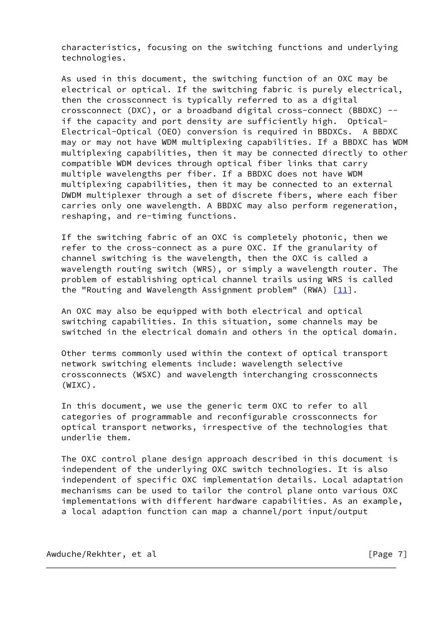characteristics, focusing on the switching functions and underlying technologies.

 As used in this document, the switching function of an OXC may be electrical or optical. If the switching fabric is purely electrical, then the crossconnect is typically referred to as a digital crossconnect (DXC), or a broadband digital cross-connect (BBDXC) - if the capacity and port density are sufficiently high. Optical- Electrical-Optical (OEO) conversion is required in BBDXCs. A BBDXC may or may not have WDM multiplexing capabilities. If a BBDXC has WDM multiplexing capabilities, then it may be connected directly to other compatible WDM devices through optical fiber links that carry multiple wavelengths per fiber. If a BBDXC does not have WDM multiplexing capabilities, then it may be connected to an external DWDM multiplexer through a set of discrete fibers, where each fiber carries only one wavelength. A BBDXC may also perform regeneration, reshaping, and re-timing functions.

 If the switching fabric of an OXC is completely photonic, then we refer to the cross-connect as a pure OXC. If the granularity of channel switching is the wavelength, then the OXC is called a wavelength routing switch (WRS), or simply a wavelength router. The problem of establishing optical channel trails using WRS is called the "Routing and Wavelength Assignment problem" (RWA)  $[11]$  $[11]$ .

 An OXC may also be equipped with both electrical and optical switching capabilities. In this situation, some channels may be switched in the electrical domain and others in the optical domain.

 Other terms commonly used within the context of optical transport network switching elements include: wavelength selective crossconnects (WSXC) and wavelength interchanging crossconnects (WIXC).

 In this document, we use the generic term OXC to refer to all categories of programmable and reconfigurable crossconnects for optical transport networks, irrespective of the technologies that underlie them.

 The OXC control plane design approach described in this document is independent of the underlying OXC switch technologies. It is also independent of specific OXC implementation details. Local adaptation mechanisms can be used to tailor the control plane onto various OXC implementations with different hardware capabilities. As an example, a local adaption function can map a channel/port input/output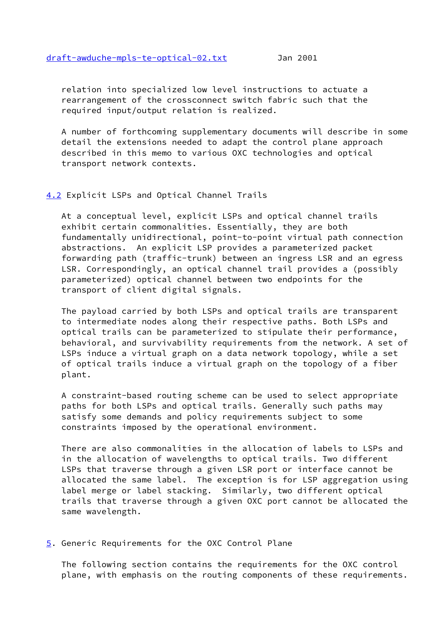relation into specialized low level instructions to actuate a rearrangement of the crossconnect switch fabric such that the required input/output relation is realized.

 A number of forthcoming supplementary documents will describe in some detail the extensions needed to adapt the control plane approach described in this memo to various OXC technologies and optical transport network contexts.

# <span id="page-8-0"></span>[4.2](#page-8-0) Explicit LSPs and Optical Channel Trails

 At a conceptual level, explicit LSPs and optical channel trails exhibit certain commonalities. Essentially, they are both fundamentally unidirectional, point-to-point virtual path connection abstractions. An explicit LSP provides a parameterized packet forwarding path (traffic-trunk) between an ingress LSR and an egress LSR. Correspondingly, an optical channel trail provides a (possibly parameterized) optical channel between two endpoints for the transport of client digital signals.

 The payload carried by both LSPs and optical trails are transparent to intermediate nodes along their respective paths. Both LSPs and optical trails can be parameterized to stipulate their performance, behavioral, and survivability requirements from the network. A set of LSPs induce a virtual graph on a data network topology, while a set of optical trails induce a virtual graph on the topology of a fiber plant.

 A constraint-based routing scheme can be used to select appropriate paths for both LSPs and optical trails. Generally such paths may satisfy some demands and policy requirements subject to some constraints imposed by the operational environment.

 There are also commonalities in the allocation of labels to LSPs and in the allocation of wavelengths to optical trails. Two different LSPs that traverse through a given LSR port or interface cannot be allocated the same label. The exception is for LSP aggregation using label merge or label stacking. Similarly, two different optical trails that traverse through a given OXC port cannot be allocated the same wavelength.

<span id="page-8-1"></span>[5](#page-8-1). Generic Requirements for the OXC Control Plane

 The following section contains the requirements for the OXC control plane, with emphasis on the routing components of these requirements.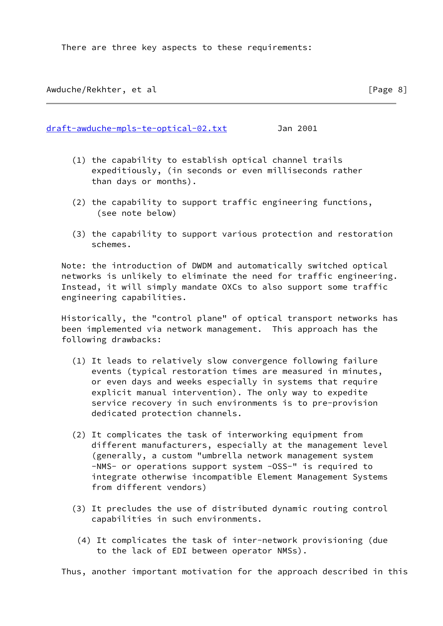There are three key aspects to these requirements:

Awduche/Rekhter, et al **interpretational entity of the contract of the contract of the contract of the contract of the contract of the contract of**  $[Page 8]$ 

[draft-awduche-mpls-te-optical-02.txt](https://datatracker.ietf.org/doc/pdf/draft-awduche-mpls-te-optical-02.txt) Jan 2001

- (1) the capability to establish optical channel trails expeditiously, (in seconds or even milliseconds rather than days or months).
- (2) the capability to support traffic engineering functions, (see note below)
- (3) the capability to support various protection and restoration schemes.

 Note: the introduction of DWDM and automatically switched optical networks is unlikely to eliminate the need for traffic engineering. Instead, it will simply mandate OXCs to also support some traffic engineering capabilities.

 Historically, the "control plane" of optical transport networks has been implemented via network management. This approach has the following drawbacks:

- (1) It leads to relatively slow convergence following failure events (typical restoration times are measured in minutes, or even days and weeks especially in systems that require explicit manual intervention). The only way to expedite service recovery in such environments is to pre-provision dedicated protection channels.
- (2) It complicates the task of interworking equipment from different manufacturers, especially at the management level (generally, a custom "umbrella network management system -NMS- or operations support system -OSS-" is required to integrate otherwise incompatible Element Management Systems from different vendors)
- (3) It precludes the use of distributed dynamic routing control capabilities in such environments.
	- (4) It complicates the task of inter-network provisioning (due to the lack of EDI between operator NMSs).

Thus, another important motivation for the approach described in this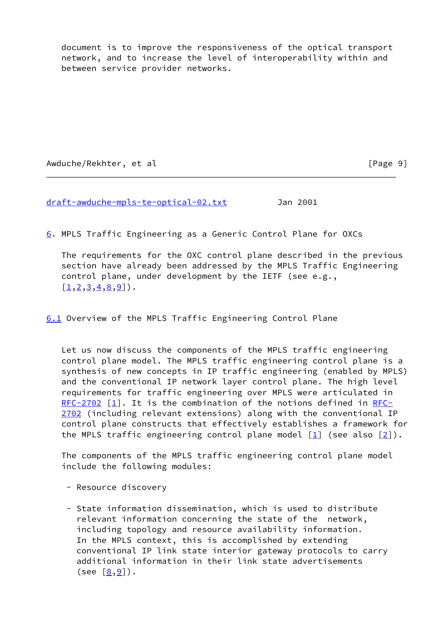document is to improve the responsiveness of the optical transport network, and to increase the level of interoperability within and between service provider networks.

Awduche/Rekhter, et al **Example 2018** [Page 9]

[draft-awduche-mpls-te-optical-02.txt](https://datatracker.ietf.org/doc/pdf/draft-awduche-mpls-te-optical-02.txt) Jan 2001

<span id="page-10-0"></span>[6](#page-10-0). MPLS Traffic Engineering as a Generic Control Plane for OXCs

 The requirements for the OXC control plane described in the previous section have already been addressed by the MPLS Traffic Engineering control plane, under development by the IETF (see e.g.,  $[1, 2, 3, 4, 8, 9]$  $[1, 2, 3, 4, 8, 9]$  $[1, 2, 3, 4, 8, 9]$  $[1, 2, 3, 4, 8, 9]$  $[1, 2, 3, 4, 8, 9]$  $[1, 2, 3, 4, 8, 9]$  $[1, 2, 3, 4, 8, 9]$  $[1, 2, 3, 4, 8, 9]$  $[1, 2, 3, 4, 8, 9]$  $[1, 2, 3, 4, 8, 9]$  $[1, 2, 3, 4, 8, 9]$ .

<span id="page-10-1"></span>[6.1](#page-10-1) Overview of the MPLS Traffic Engineering Control Plane

 Let us now discuss the components of the MPLS traffic engineering control plane model. The MPLS traffic engineering control plane is a synthesis of new concepts in IP traffic engineering (enabled by MPLS) and the conventional IP network layer control plane. The high level requirements for traffic engineering over MPLS were articulated in [RFC-2702](https://datatracker.ietf.org/doc/pdf/rfc2702)  $\lceil \frac{1}{2} \rceil$ . It is the combination of the notions defined in [RFC-](https://datatracker.ietf.org/doc/pdf/rfc2702) [2702](https://datatracker.ietf.org/doc/pdf/rfc2702) (including relevant extensions) along with the conventional IP control plane constructs that effectively establishes a framework for the MPLS traffic engineering control plane model  $[1]$  (see also  $[2]$  $[2]$ ).

 The components of the MPLS traffic engineering control plane model include the following modules:

- Resource discovery
- State information dissemination, which is used to distribute relevant information concerning the state of the network, including topology and resource availability information. In the MPLS context, this is accomplished by extending conventional IP link state interior gateway protocols to carry additional information in their link state advertisements (see  $[8, 9]$  $[8, 9]$  $[8, 9]$ ).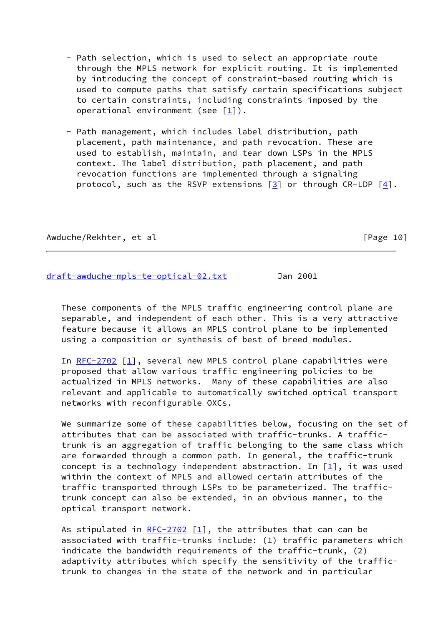- Path selection, which is used to select an appropriate route through the MPLS network for explicit routing. It is implemented by introducing the concept of constraint-based routing which is used to compute paths that satisfy certain specifications subject to certain constraints, including constraints imposed by the operational environment (see [\[1](#page-21-0)]).
- Path management, which includes label distribution, path placement, path maintenance, and path revocation. These are used to establish, maintain, and tear down LSPs in the MPLS context. The label distribution, path placement, and path revocation functions are implemented through a signaling protocol, such as the RSVP extensions  $[3]$  or through CR-LDP  $[4]$  $[4]$ .

Awduche/Rekhter, et al **interpretational entity of the set of the set of the set of the set of the set of the set of the set of the set of the set of the set of the set of the set of the set of the set of the set of the se** 

[draft-awduche-mpls-te-optical-02.txt](https://datatracker.ietf.org/doc/pdf/draft-awduche-mpls-te-optical-02.txt) Jan 2001

 These components of the MPLS traffic engineering control plane are separable, and independent of each other. This is a very attractive feature because it allows an MPLS control plane to be implemented using a composition or synthesis of best of breed modules.

In  $RFC-2702$  [\[1](#page-21-0)], several new MPLS control plane capabilities were proposed that allow various traffic engineering policies to be actualized in MPLS networks. Many of these capabilities are also relevant and applicable to automatically switched optical transport networks with reconfigurable OXCs.

 We summarize some of these capabilities below, focusing on the set of attributes that can be associated with traffic-trunks. A traffic trunk is an aggregation of traffic belonging to the same class which are forwarded through a common path. In general, the traffic-trunk concept is a technology independent abstraction. In  $[1]$  $[1]$ , it was used within the context of MPLS and allowed certain attributes of the traffic transported through LSPs to be parameterized. The traffic trunk concept can also be extended, in an obvious manner, to the optical transport network.

As stipulated in  $RFC-2702$  [[1\]](#page-21-0), the attributes that can can be associated with traffic-trunks include: (1) traffic parameters which indicate the bandwidth requirements of the traffic-trunk, (2) adaptivity attributes which specify the sensitivity of the traffic trunk to changes in the state of the network and in particular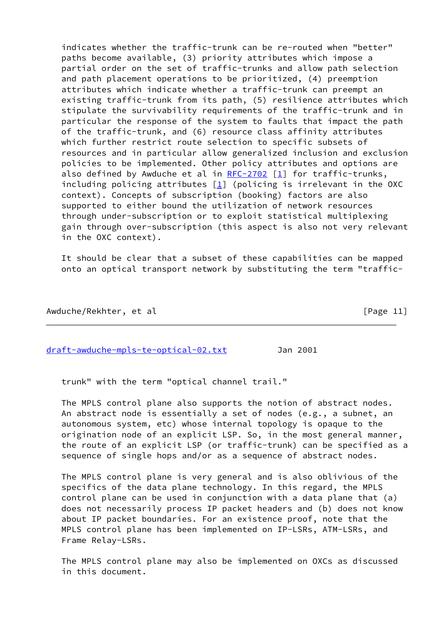indicates whether the traffic-trunk can be re-routed when "better" paths become available, (3) priority attributes which impose a partial order on the set of traffic-trunks and allow path selection and path placement operations to be prioritized, (4) preemption attributes which indicate whether a traffic-trunk can preempt an existing traffic-trunk from its path, (5) resilience attributes which stipulate the survivability requirements of the traffic-trunk and in particular the response of the system to faults that impact the path of the traffic-trunk, and (6) resource class affinity attributes which further restrict route selection to specific subsets of resources and in particular allow generalized inclusion and exclusion policies to be implemented. Other policy attributes and options are also defined by Awduche et al in [RFC-2702](https://datatracker.ietf.org/doc/pdf/rfc2702) [[1\]](#page-21-0) for traffic-trunks, including policing attributes  $[1]$  $[1]$  (policing is irrelevant in the OXC context). Concepts of subscription (booking) factors are also supported to either bound the utilization of network resources through under-subscription or to exploit statistical multiplexing gain through over-subscription (this aspect is also not very relevant in the OXC context).

 It should be clear that a subset of these capabilities can be mapped onto an optical transport network by substituting the term "traffic-

Awduche/Rekhter, et al **Example 2018** [Page 11]

[draft-awduche-mpls-te-optical-02.txt](https://datatracker.ietf.org/doc/pdf/draft-awduche-mpls-te-optical-02.txt) Jan 2001

trunk" with the term "optical channel trail."

 The MPLS control plane also supports the notion of abstract nodes. An abstract node is essentially a set of nodes (e.g., a subnet, an autonomous system, etc) whose internal topology is opaque to the origination node of an explicit LSP. So, in the most general manner, the route of an explicit LSP (or traffic-trunk) can be specified as a sequence of single hops and/or as a sequence of abstract nodes.

 The MPLS control plane is very general and is also oblivious of the specifics of the data plane technology. In this regard, the MPLS control plane can be used in conjunction with a data plane that (a) does not necessarily process IP packet headers and (b) does not know about IP packet boundaries. For an existence proof, note that the MPLS control plane has been implemented on IP-LSRs, ATM-LSRs, and Frame Relay-LSRs.

 The MPLS control plane may also be implemented on OXCs as discussed in this document.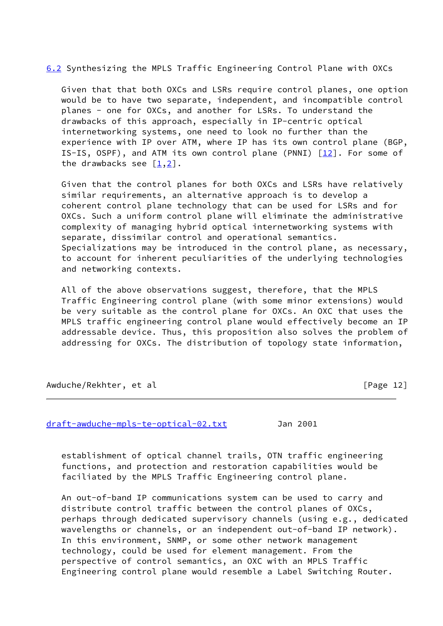<span id="page-13-0"></span>[6.2](#page-13-0) Synthesizing the MPLS Traffic Engineering Control Plane with OXCs

 Given that that both OXCs and LSRs require control planes, one option would be to have two separate, independent, and incompatible control planes - one for OXCs, and another for LSRs. To understand the drawbacks of this approach, especially in IP-centric optical internetworking systems, one need to look no further than the experience with IP over ATM, where IP has its own control plane (BGP, IS-IS, OSPF), and ATM its own control plane (PNNI)  $\lceil \frac{12}{12} \rceil$ . For some of the drawbacks see  $[1,2]$  $[1,2]$  $[1,2]$  $[1,2]$ .

 Given that the control planes for both OXCs and LSRs have relatively similar requirements, an alternative approach is to develop a coherent control plane technology that can be used for LSRs and for OXCs. Such a uniform control plane will eliminate the administrative complexity of managing hybrid optical internetworking systems with separate, dissimilar control and operational semantics. Specializations may be introduced in the control plane, as necessary, to account for inherent peculiarities of the underlying technologies and networking contexts.

 All of the above observations suggest, therefore, that the MPLS Traffic Engineering control plane (with some minor extensions) would be very suitable as the control plane for OXCs. An OXC that uses the MPLS traffic engineering control plane would effectively become an IP addressable device. Thus, this proposition also solves the problem of addressing for OXCs. The distribution of topology state information,

Awduche/Rekhter, et al **Example 2018** [Page 12]

[draft-awduche-mpls-te-optical-02.txt](https://datatracker.ietf.org/doc/pdf/draft-awduche-mpls-te-optical-02.txt) Jan 2001

 establishment of optical channel trails, OTN traffic engineering functions, and protection and restoration capabilities would be faciliated by the MPLS Traffic Engineering control plane.

 An out-of-band IP communications system can be used to carry and distribute control traffic between the control planes of OXCs, perhaps through dedicated supervisory channels (using e.g., dedicated wavelengths or channels, or an independent out-of-band IP network). In this environment, SNMP, or some other network management technology, could be used for element management. From the perspective of control semantics, an OXC with an MPLS Traffic Engineering control plane would resemble a Label Switching Router.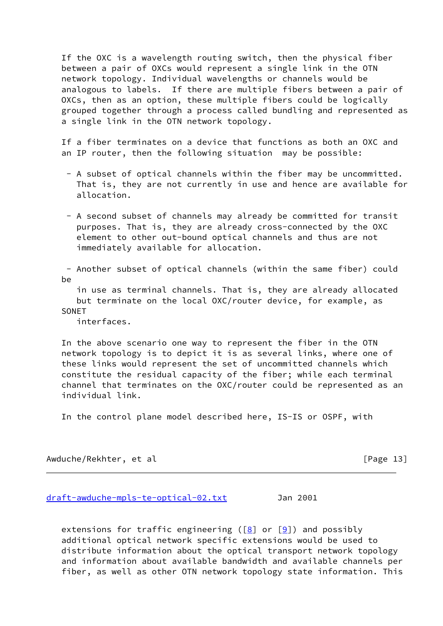If the OXC is a wavelength routing switch, then the physical fiber between a pair of OXCs would represent a single link in the OTN network topology. Individual wavelengths or channels would be analogous to labels. If there are multiple fibers between a pair of OXCs, then as an option, these multiple fibers could be logically grouped together through a process called bundling and represented as a single link in the OTN network topology.

 If a fiber terminates on a device that functions as both an OXC and an IP router, then the following situation may be possible:

- A subset of optical channels within the fiber may be uncommitted. That is, they are not currently in use and hence are available for allocation.
- A second subset of channels may already be committed for transit purposes. That is, they are already cross-connected by the OXC element to other out-bound optical channels and thus are not immediately available for allocation.

 - Another subset of optical channels (within the same fiber) could be

 in use as terminal channels. That is, they are already allocated but terminate on the local OXC/router device, for example, as **SONET** 

interfaces.

 In the above scenario one way to represent the fiber in the OTN network topology is to depict it is as several links, where one of these links would represent the set of uncommitted channels which constitute the residual capacity of the fiber; while each terminal channel that terminates on the OXC/router could be represented as an individual link.

In the control plane model described here, IS-IS or OSPF, with

Awduche/Rekhter, et al international control in the set of  $[Page 13]$ 

[draft-awduche-mpls-te-optical-02.txt](https://datatracker.ietf.org/doc/pdf/draft-awduche-mpls-te-optical-02.txt) Jan 2001

extensions for traffic engineering ( $[8]$  $[8]$  or  $[9]$  $[9]$ ) and possibly additional optical network specific extensions would be used to distribute information about the optical transport network topology and information about available bandwidth and available channels per fiber, as well as other OTN network topology state information. This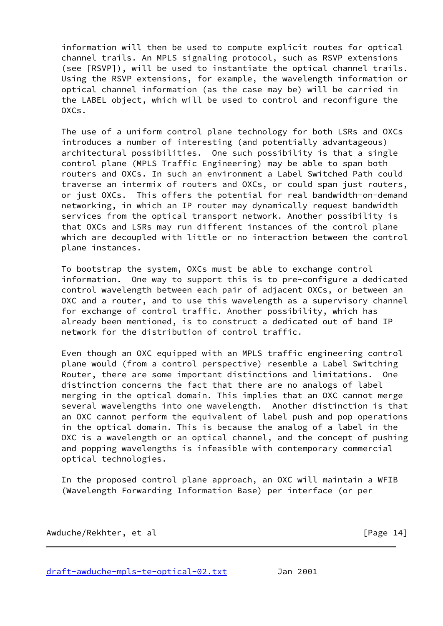information will then be used to compute explicit routes for optical channel trails. An MPLS signaling protocol, such as RSVP extensions (see [RSVP]), will be used to instantiate the optical channel trails. Using the RSVP extensions, for example, the wavelength information or optical channel information (as the case may be) will be carried in the LABEL object, which will be used to control and reconfigure the  $OXCS$ .

 The use of a uniform control plane technology for both LSRs and OXCs introduces a number of interesting (and potentially advantageous) architectural possibilities. One such possibility is that a single control plane (MPLS Traffic Engineering) may be able to span both routers and OXCs. In such an environment a Label Switched Path could traverse an intermix of routers and OXCs, or could span just routers, or just OXCs. This offers the potential for real bandwidth-on-demand networking, in which an IP router may dynamically request bandwidth services from the optical transport network. Another possibility is that OXCs and LSRs may run different instances of the control plane which are decoupled with little or no interaction between the control plane instances.

 To bootstrap the system, OXCs must be able to exchange control information. One way to support this is to pre-configure a dedicated control wavelength between each pair of adjacent OXCs, or between an OXC and a router, and to use this wavelength as a supervisory channel for exchange of control traffic. Another possibility, which has already been mentioned, is to construct a dedicated out of band IP network for the distribution of control traffic.

 Even though an OXC equipped with an MPLS traffic engineering control plane would (from a control perspective) resemble a Label Switching Router, there are some important distinctions and limitations. One distinction concerns the fact that there are no analogs of label merging in the optical domain. This implies that an OXC cannot merge several wavelengths into one wavelength. Another distinction is that an OXC cannot perform the equivalent of label push and pop operations in the optical domain. This is because the analog of a label in the OXC is a wavelength or an optical channel, and the concept of pushing and popping wavelengths is infeasible with contemporary commercial optical technologies.

 In the proposed control plane approach, an OXC will maintain a WFIB (Wavelength Forwarding Information Base) per interface (or per

Awduche/Rekhter, et al **Example 2018** [Page 14]

[draft-awduche-mpls-te-optical-02.txt](https://datatracker.ietf.org/doc/pdf/draft-awduche-mpls-te-optical-02.txt) Jan 2001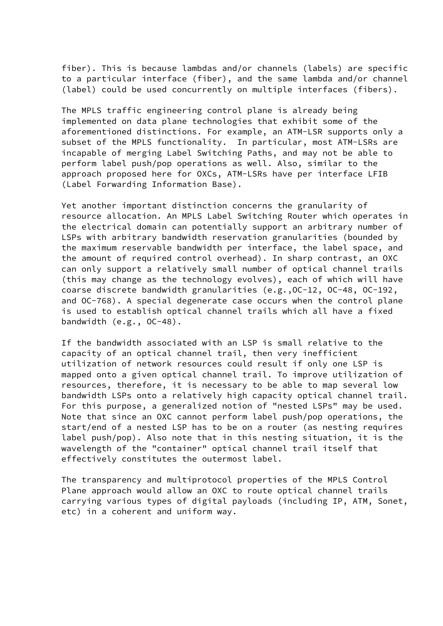fiber). This is because lambdas and/or channels (labels) are specific to a particular interface (fiber), and the same lambda and/or channel (label) could be used concurrently on multiple interfaces (fibers).

 The MPLS traffic engineering control plane is already being implemented on data plane technologies that exhibit some of the aforementioned distinctions. For example, an ATM-LSR supports only a subset of the MPLS functionality. In particular, most ATM-LSRs are incapable of merging Label Switching Paths, and may not be able to perform label push/pop operations as well. Also, similar to the approach proposed here for OXCs, ATM-LSRs have per interface LFIB (Label Forwarding Information Base).

 Yet another important distinction concerns the granularity of resource allocation. An MPLS Label Switching Router which operates in the electrical domain can potentially support an arbitrary number of LSPs with arbitrary bandwidth reservation granularities (bounded by the maximum reservable bandwidth per interface, the label space, and the amount of required control overhead). In sharp contrast, an OXC can only support a relatively small number of optical channel trails (this may change as the technology evolves), each of which will have coarse discrete bandwidth granularities (e.g.,OC-12, OC-48, OC-192, and OC-768). A special degenerate case occurs when the control plane is used to establish optical channel trails which all have a fixed bandwidth (e.g., OC-48).

 If the bandwidth associated with an LSP is small relative to the capacity of an optical channel trail, then very inefficient utilization of network resources could result if only one LSP is mapped onto a given optical channel trail. To improve utilization of resources, therefore, it is necessary to be able to map several low bandwidth LSPs onto a relatively high capacity optical channel trail. For this purpose, a generalized notion of "nested LSPs" may be used. Note that since an OXC cannot perform label push/pop operations, the start/end of a nested LSP has to be on a router (as nesting requires label push/pop). Also note that in this nesting situation, it is the wavelength of the "container" optical channel trail itself that effectively constitutes the outermost label.

 The transparency and multiprotocol properties of the MPLS Control Plane approach would allow an OXC to route optical channel trails carrying various types of digital payloads (including IP, ATM, Sonet, etc) in a coherent and uniform way.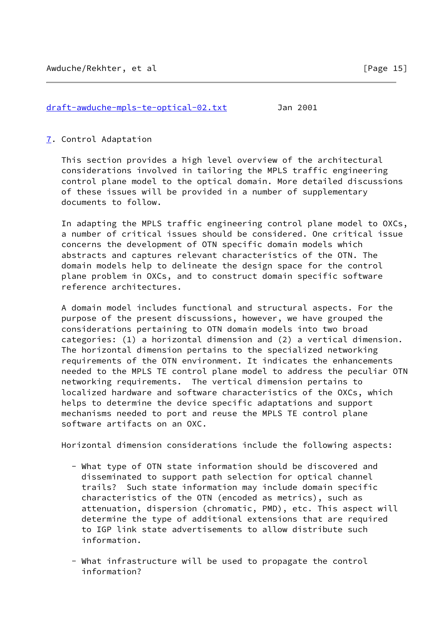### [draft-awduche-mpls-te-optical-02.txt](https://datatracker.ietf.org/doc/pdf/draft-awduche-mpls-te-optical-02.txt) Jan 2001

#### <span id="page-17-0"></span>[7](#page-17-0). Control Adaptation

 This section provides a high level overview of the architectural considerations involved in tailoring the MPLS traffic engineering control plane model to the optical domain. More detailed discussions of these issues will be provided in a number of supplementary documents to follow.

 In adapting the MPLS traffic engineering control plane model to OXCs, a number of critical issues should be considered. One critical issue concerns the development of OTN specific domain models which abstracts and captures relevant characteristics of the OTN. The domain models help to delineate the design space for the control plane problem in OXCs, and to construct domain specific software reference architectures.

 A domain model includes functional and structural aspects. For the purpose of the present discussions, however, we have grouped the considerations pertaining to OTN domain models into two broad categories: (1) a horizontal dimension and (2) a vertical dimension. The horizontal dimension pertains to the specialized networking requirements of the OTN environment. It indicates the enhancements needed to the MPLS TE control plane model to address the peculiar OTN networking requirements. The vertical dimension pertains to localized hardware and software characteristics of the OXCs, which helps to determine the device specific adaptations and support mechanisms needed to port and reuse the MPLS TE control plane software artifacts on an OXC.

Horizontal dimension considerations include the following aspects:

- What type of OTN state information should be discovered and disseminated to support path selection for optical channel trails? Such state information may include domain specific characteristics of the OTN (encoded as metrics), such as attenuation, dispersion (chromatic, PMD), etc. This aspect will determine the type of additional extensions that are required to IGP link state advertisements to allow distribute such information.
- What infrastructure will be used to propagate the control information?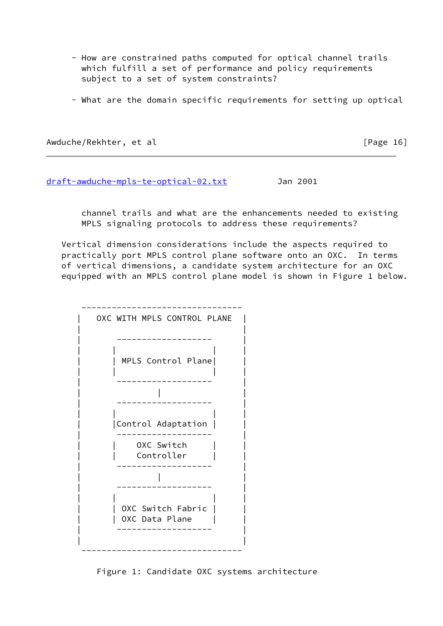- How are constrained paths computed for optical channel trails which fulfill a set of performance and policy requirements subject to a set of system constraints?
- What are the domain specific requirements for setting up optical

Awduche/Rekhter, et al **Example 2018** [Page 16]

[draft-awduche-mpls-te-optical-02.txt](https://datatracker.ietf.org/doc/pdf/draft-awduche-mpls-te-optical-02.txt) Jan 2001

 channel trails and what are the enhancements needed to existing MPLS signaling protocols to address these requirements?

 Vertical dimension considerations include the aspects required to practically port MPLS control plane software onto an OXC. In terms of vertical dimensions, a candidate system architecture for an OXC equipped with an MPLS control plane model is shown in Figure 1 below.



Figure 1: Candidate OXC systems architecture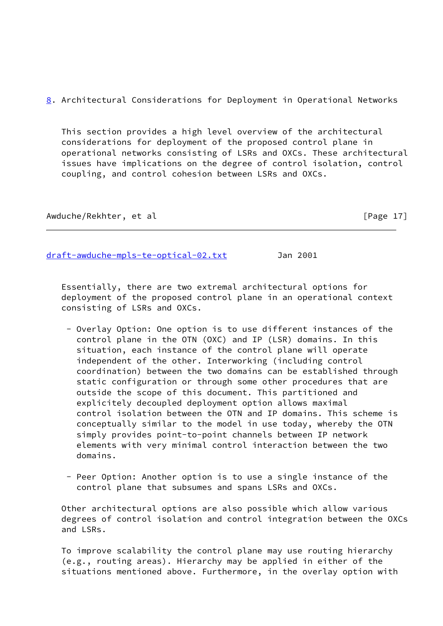<span id="page-19-0"></span>[8](#page-19-0). Architectural Considerations for Deployment in Operational Networks

 This section provides a high level overview of the architectural considerations for deployment of the proposed control plane in operational networks consisting of LSRs and OXCs. These architectural issues have implications on the degree of control isolation, control coupling, and control cohesion between LSRs and OXCs.

Awduche/Rekhter, et al **interpretational control (Page 17**)

[draft-awduche-mpls-te-optical-02.txt](https://datatracker.ietf.org/doc/pdf/draft-awduche-mpls-te-optical-02.txt) Jan 2001

 Essentially, there are two extremal architectural options for deployment of the proposed control plane in an operational context consisting of LSRs and OXCs.

- Overlay Option: One option is to use different instances of the control plane in the OTN (OXC) and IP (LSR) domains. In this situation, each instance of the control plane will operate independent of the other. Interworking (including control coordination) between the two domains can be established through static configuration or through some other procedures that are outside the scope of this document. This partitioned and explicitely decoupled deployment option allows maximal control isolation between the OTN and IP domains. This scheme is conceptually similar to the model in use today, whereby the OTN simply provides point-to-point channels between IP network elements with very minimal control interaction between the two domains.
- Peer Option: Another option is to use a single instance of the control plane that subsumes and spans LSRs and OXCs.

 Other architectural options are also possible which allow various degrees of control isolation and control integration between the OXCs and LSRs.

 To improve scalability the control plane may use routing hierarchy (e.g., routing areas). Hierarchy may be applied in either of the situations mentioned above. Furthermore, in the overlay option with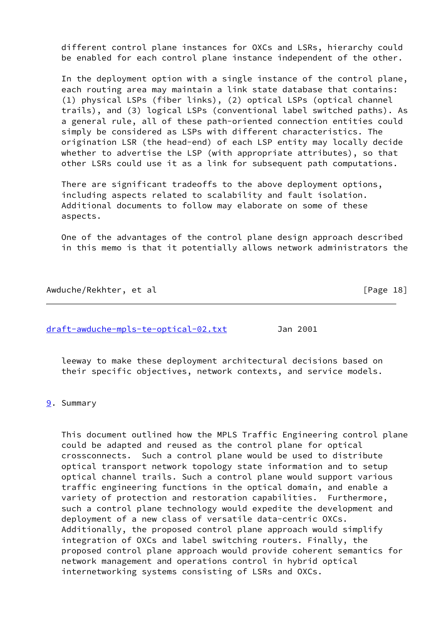different control plane instances for OXCs and LSRs, hierarchy could be enabled for each control plane instance independent of the other.

 In the deployment option with a single instance of the control plane, each routing area may maintain a link state database that contains: (1) physical LSPs (fiber links), (2) optical LSPs (optical channel trails), and (3) logical LSPs (conventional label switched paths). As a general rule, all of these path-oriented connection entities could simply be considered as LSPs with different characteristics. The origination LSR (the head-end) of each LSP entity may locally decide whether to advertise the LSP (with appropriate attributes), so that other LSRs could use it as a link for subsequent path computations.

 There are significant tradeoffs to the above deployment options, including aspects related to scalability and fault isolation. Additional documents to follow may elaborate on some of these aspects.

 One of the advantages of the control plane design approach described in this memo is that it potentially allows network administrators the

Awduche/Rekhter, et al **interpretational entity of the contract of the contract of the contract of the contract of the contract of the contract of**  $[Page 18]$ 

[draft-awduche-mpls-te-optical-02.txt](https://datatracker.ietf.org/doc/pdf/draft-awduche-mpls-te-optical-02.txt) Jan 2001

 leeway to make these deployment architectural decisions based on their specific objectives, network contexts, and service models.

<span id="page-20-0"></span>[9](#page-20-0). Summary

 This document outlined how the MPLS Traffic Engineering control plane could be adapted and reused as the control plane for optical crossconnects. Such a control plane would be used to distribute optical transport network topology state information and to setup optical channel trails. Such a control plane would support various traffic engineering functions in the optical domain, and enable a variety of protection and restoration capabilities. Furthermore, such a control plane technology would expedite the development and deployment of a new class of versatile data-centric OXCs. Additionally, the proposed control plane approach would simplify integration of OXCs and label switching routers. Finally, the proposed control plane approach would provide coherent semantics for network management and operations control in hybrid optical internetworking systems consisting of LSRs and OXCs.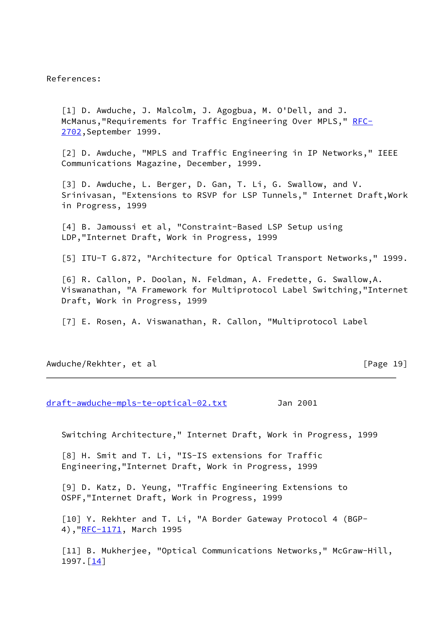References:

<span id="page-21-0"></span> [1] D. Awduche, J. Malcolm, J. Agogbua, M. O'Dell, and J. McManus, "Requirements for Traffic Engineering Over MPLS," [RFC-](https://datatracker.ietf.org/doc/pdf/rfc2702) [2702](https://datatracker.ietf.org/doc/pdf/rfc2702),September 1999.

<span id="page-21-1"></span> [2] D. Awduche, "MPLS and Traffic Engineering in IP Networks," IEEE Communications Magazine, December, 1999.

<span id="page-21-2"></span> [3] D. Awduche, L. Berger, D. Gan, T. Li, G. Swallow, and V. Srinivasan, "Extensions to RSVP for LSP Tunnels," Internet Draft,Work in Progress, 1999

<span id="page-21-3"></span> [4] B. Jamoussi et al, "Constraint-Based LSP Setup using LDP,"Internet Draft, Work in Progress, 1999

<span id="page-21-7"></span>[5] ITU-T G.872, "Architecture for Optical Transport Networks," 1999.

<span id="page-21-8"></span> [6] R. Callon, P. Doolan, N. Feldman, A. Fredette, G. Swallow,A. Viswanathan, "A Framework for Multiprotocol Label Switching,"Internet Draft, Work in Progress, 1999

<span id="page-21-9"></span>[7] E. Rosen, A. Viswanathan, R. Callon, "Multiprotocol Label

### Awduche/Rekhter, et al **Example 2018** [Page 19]

[draft-awduche-mpls-te-optical-02.txt](https://datatracker.ietf.org/doc/pdf/draft-awduche-mpls-te-optical-02.txt) Jan 2001

Switching Architecture," Internet Draft, Work in Progress, 1999

<span id="page-21-4"></span> [8] H. Smit and T. Li, "IS-IS extensions for Traffic Engineering,"Internet Draft, Work in Progress, 1999

<span id="page-21-5"></span> [9] D. Katz, D. Yeung, "Traffic Engineering Extensions to OSPF,"Internet Draft, Work in Progress, 1999

<span id="page-21-6"></span> [10] Y. Rekhter and T. Li, "A Border Gateway Protocol 4 (BGP- 4), "[RFC-1171,](https://datatracker.ietf.org/doc/pdf/rfc1171) March 1995

<span id="page-21-10"></span> [11] B. Mukherjee, "Optical Communications Networks," McGraw-Hill, 1997.[\[14\]](#page-22-2)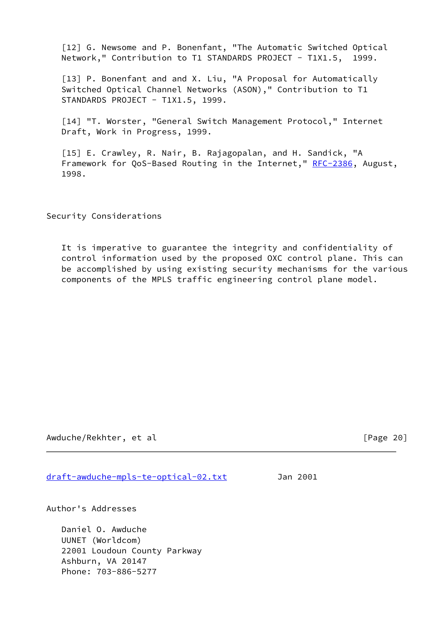<span id="page-22-0"></span> [12] G. Newsome and P. Bonenfant, "The Automatic Switched Optical Network," Contribution to T1 STANDARDS PROJECT - T1X1.5, 1999.

<span id="page-22-1"></span>[13] P. Bonenfant and and X. Liu, "A Proposal for Automatically Switched Optical Channel Networks (ASON)," Contribution to T1 STANDARDS PROJECT - T1X1.5, 1999.

<span id="page-22-2"></span> [14] "T. Worster, "General Switch Management Protocol," Internet Draft, Work in Progress, 1999.

 [15] E. Crawley, R. Nair, B. Rajagopalan, and H. Sandick, "A Framework for QoS-Based Routing in the Internet," [RFC-2386](https://datatracker.ietf.org/doc/pdf/rfc2386), August, 1998.

Security Considerations

 It is imperative to guarantee the integrity and confidentiality of control information used by the proposed OXC control plane. This can be accomplished by using existing security mechanisms for the various components of the MPLS traffic engineering control plane model.

Awduche/Rekhter, et al **Example 201** [Page 20]

[draft-awduche-mpls-te-optical-02.txt](https://datatracker.ietf.org/doc/pdf/draft-awduche-mpls-te-optical-02.txt) Jan 2001

Author's Addresses

 Daniel O. Awduche UUNET (Worldcom) 22001 Loudoun County Parkway Ashburn, VA 20147 Phone: 703-886-5277